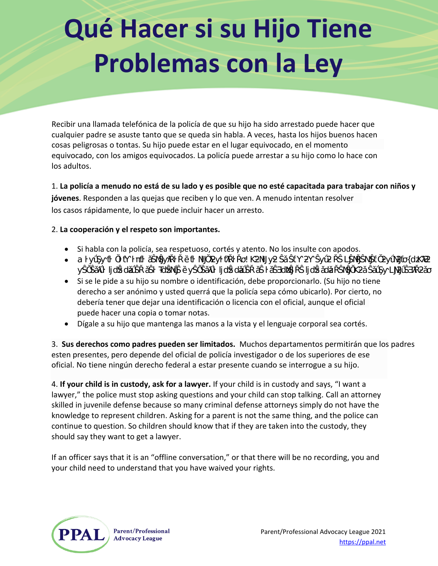## **Qué Hacer si su Hijo Tiene Problemas con la Ley**

Recibir una llamada telefónica de la policía de que su hijo ha sido arrestado puede hacer que cualquier padre se asuste tanto que se queda sin habla. A veces, hasta los hijos buenos hacen cosas peligrosas o tontas. Su hijo puede estar en el lugar equivocado, en el momento equivocado, con los amigos equivocados. La policía puede arrestar a su hijo como lo hace con los adultos.

1. **La policía a menudo no está de su lado y es posible que no esté capacitada para trabajar con niños y jóvenes**. Responden a las quejas que reciben y lo que ven. A menudo intentan resolver los casos rápidamente, lo que puede incluir hacer un arresto.

## 2. **La cooperación y el respeto son importantes.**

- Si habla con la policía, sea respetuoso, cortés y atento. No los insulte con apodos.
- DĂŶƚĠŶůĂĐĂůŵĂ͕ůĂƐĞƌĞŶŝĚĂĚLJůĂƌĂĐŝŽŶĂůŝĚĂĚ͘ŚŽƌĂŶŽĞƐĞůŵŽŵĞŶƚŽĚĞƉĞƌĚĞƌĞůĐŽŶƚƌŽů͘^ƵŚŝũŽ ŶĞĐĞƐŝƚĂƋƵĞƵƐƚĞĚƐĞĂĨƵĞƌƚĞLJŶĞĐĞƐŝƚĂƋƵĞƵƐƚĞĚƐĞĂƐĞŐƵƌĞĚĞƋƵĞƐƵƐĚĞƌĞĐŚŽƐĞƐƚĠŶƉƌŽƚĞŐŝĚŽƐ͘
- Si se le pide a su hijo su nombre o identificación, debe proporcionarlo. (Su hijo no tiene derecho a ser anónimo y usted querrá que la policía sepa cómo ubicarlo). Por cierto, no debería tener que dejar una identificación o licencia con el oficial, aunque el oficial puede hacer una copia o tomar notas.
- Dígale a su hijo que mantenga las manos a la vista y el lenguaje corporal sea cortés.

3. **Sus derechos como padres pueden ser limitados.** Muchos departamentos permitirán que los padres esten presentes, pero depende del oficial de policía investigador o de los superiores de ese oficial. No tiene ningún derecho federal a estar presente cuando se interrogue a su hijo.

4. **If your child is in custody, ask for a lawyer.** If your child is in custody and says, "I want a lawyer," the police must stop asking questions and your child can stop talking. Call an attorney skilled in juvenile defense because so many criminal defense attorneys simply do not have the knowledge to represent children. Asking for a parent is not the same thing, and the police can continue to question. So children should know that if they are taken into the custody, they should say they want to get a lawyer.

If an officer says that it is an "offline conversation," or that there will be no recording, you and your child need to understand that you have waived your rights.